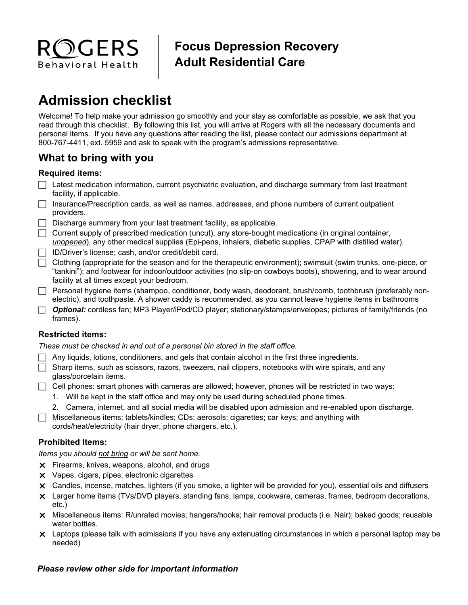

## **Focus Depression Recovery Adult Residential Care**

# **Admission checklist**

Welcome! To help make your admission go smoothly and your stay as comfortable as possible, we ask that you read through this checklist. By following this list, you will arrive at Rogers with all the necessary documents and personal items. If you have any questions after reading the list, please contact our admissions department at 800-767-4411, ext. 5959 and ask to speak with the program's admissions representative.

### **What to bring with you**

#### **Required items:**

- $\Box$  Latest medication information, current psychiatric evaluation, and discharge summary from last treatment facility, if applicable.
- $\Box$  Insurance/Prescription cards, as well as names, addresses, and phone numbers of current outpatient providers.
- $\Box$  Discharge summary from your last treatment facility, as applicable.
- $\Box$  Current supply of prescribed medication (uncut), any store-bought medications (in original container, *unopened*), any other medical supplies (Epi-pens, inhalers, diabetic supplies, CPAP with distilled water).
- $\Box$  ID/Driver's license; cash, and/or credit/debit card.
- $\Box$  Clothing (appropriate for the season and for the therapeutic environment); swimsuit (swim trunks, one-piece, or "tankini"); and footwear for indoor/outdoor activities (no slip-on cowboys boots), showering, and to wear around facility at all times except your bedroom.
- Personal hygiene items (shampoo, conditioner, body wash, deodorant, brush/comb, toothbrush (preferably nonelectric), and toothpaste. A shower caddy is recommended, as you cannot leave hygiene items in bathrooms
- *Optional:* cordless fan; MP3 Player/iPod/CD player; stationary/stamps/envelopes; pictures of family/friends (no frames).

#### **Restricted items:**

*These must be checked in and out of a personal bin stored in the staff office.* 

- Any liquids, lotions, conditioners, and gels that contain alcohol in the first three ingredients.
- $\Box$  Sharp items, such as scissors, razors, tweezers, nail clippers, notebooks with wire spirals, and any glass/porcelain items.
- $\Box$  Cell phones: smart phones with cameras are allowed; however, phones will be restricted in two ways:
	- 1. Will be kept in the staff office and may only be used during scheduled phone times.
	- 2. Camera, internet, and all social media will be disabled upon admission and re-enabled upon discharge.
- $\Box$  Miscellaneous items: tablets/kindles; CDs; aerosols; cigarettes; car keys; and anything with cords/heat/electricity (hair dryer, phone chargers, etc.).

#### **Prohibited Items:**

#### *Items you should not bring or will be sent home.*

- **X** Firearms, knives, weapons, alcohol, and drugs
- **x** Vapes, cigars, pipes, electronic cigarettes
- Candles, incense, matches, lighters (if you smoke, a lighter will be provided for you), essential oils and diffusers
- Larger home items (TVs/DVD players, standing fans, lamps, cookware, cameras, frames, bedroom decorations, etc.)
- Miscellaneous items: R/unrated movies; hangers/hooks; hair removal products (i.e. Nair); baked goods; reusable water bottles.
- Laptops (please talk with admissions if you have any extenuating circumstances in which a personal laptop may be needed)

#### *Please review other side for important information*